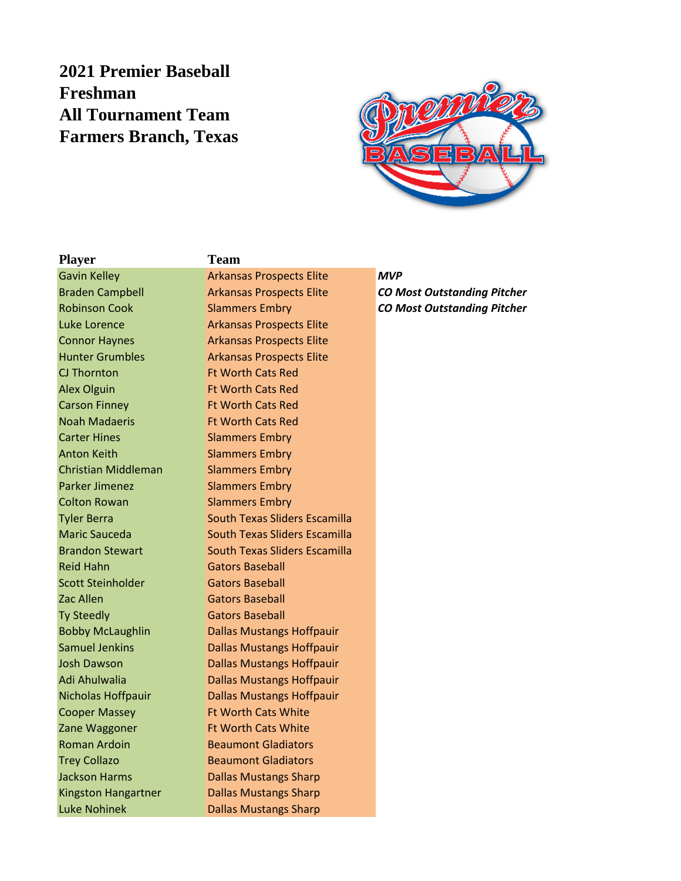## **2021 Premier Baseball Freshman All Tournament Team Farmers Branch, Texas**



## **Player Team**

CJ Thornton **Ft Worth Cats Red** Alex Olguin Ft Worth Cats Red Carson Finney **Ft Worth Cats Red** Noah Madaeris Ft Worth Cats Red **Carter Hines** Slammers Embry Anton Keith Slammers Embry Christian Middleman Slammers Embry Parker Jimenez Slammers Embry **Colton Rowan Slammers Embry** Reid Hahn Gators Baseball Scott Steinholder **Gators Baseball** Zac Allen Gators Baseball Ty Steedly **Gators Baseball** Cooper Massey **Ft Worth Cats White** Zane Waggoner Ft Worth Cats White

Gavin Kelley **Arkansas Prospects Elite MVP** Luke Lorence **Arkansas Prospects Elite** Connor Haynes **Arkansas Prospects Elite** Hunter Grumbles **Arkansas Prospects Elite** Tyler Berra **South Texas Sliders Escamilla** Maric Sauceda South Texas Sliders Escamilla Brandon Stewart South Texas Sliders Escamilla Bobby McLaughlin Dallas Mustangs Hoffpauir Samuel Jenkins **Dallas Mustangs Hoffpauir** Josh Dawson **Dallas Mustangs Hoffpauir** Adi Ahulwalia Dallas Mustangs Hoffpauir Nicholas Hoffpauir **Dallas Mustangs Hoffpauir** Roman Ardoin **Beaumont Gladiators Trey Collazo Beaumont Gladiators** Jackson Harms **Dallas Mustangs Sharp** Kingston Hangartner Dallas Mustangs Sharp Luke Nohinek **Dallas Mustangs Sharp** 

Braden Campbell Arkansas Prospects Elite *CO Most Outstanding Pitcher* Robinson Cook Slammers Embry *CO Most Outstanding Pitcher*